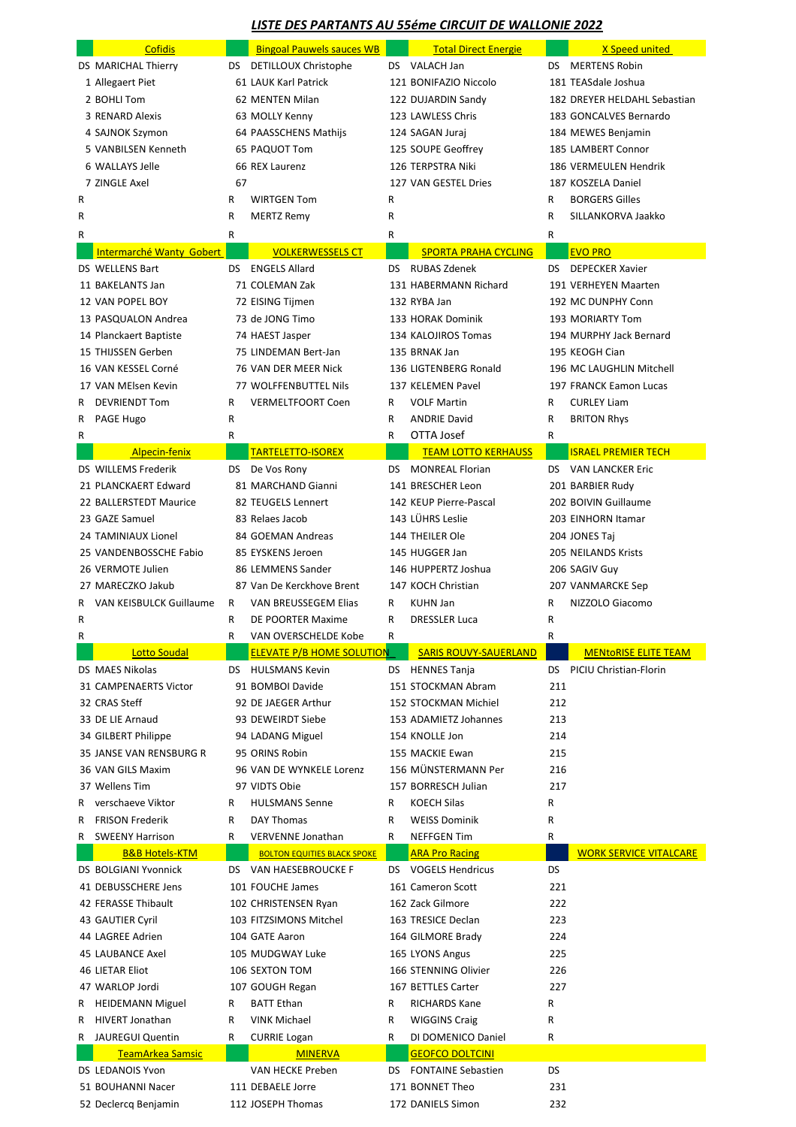## *LISTE DES PARTANTS AU 55éme CIRCUIT DE WALLONIE 2022*

|        | <b>Cofidis</b>            |              | <b>Bingoal Pauwels sauces WB</b>               |           | <b>Total Direct Energie</b>           |                    | X Speed united                |
|--------|---------------------------|--------------|------------------------------------------------|-----------|---------------------------------------|--------------------|-------------------------------|
|        | DS MARICHAL Thierry       |              | DS DETILLOUX Christophe                        |           | DS VALACH Jan                         | DS.                | <b>MERTENS Robin</b>          |
|        | 1 Allegaert Piet          |              | 61 LAUK Karl Patrick                           |           | 121 BONIFAZIO Niccolo                 |                    | 181 TEASdale Joshua           |
|        | 2 BOHLI Tom               |              | 62 MENTEN Milan                                |           | 122 DUJARDIN Sandy                    |                    | 182 DREYER HELDAHL Sebastian  |
|        | 3 RENARD Alexis           |              | 63 MOLLY Kenny                                 |           | 123 LAWLESS Chris                     |                    | 183 GONCALVES Bernardo        |
|        | 4 SAJNOK Szymon           |              | 64 PAASSCHENS Mathijs                          |           | 124 SAGAN Juraj                       |                    | 184 MEWES Benjamin            |
|        | 5 VANBILSEN Kenneth       |              | 65 PAQUOT Tom                                  |           | 125 SOUPE Geoffrey                    |                    | 185 LAMBERT Connor            |
|        | 6 WALLAYS Jelle           |              | 66 REX Laurenz                                 |           | 126 TERPSTRA Niki                     |                    | 186 VERMEULEN Hendrik         |
|        | 7 ZINGLE Axel             | 67           |                                                |           | 127 VAN GESTEL Dries                  |                    | 187 KOSZELA Daniel            |
| R      |                           | R            | <b>WIRTGEN Tom</b>                             | R         |                                       | $\mathsf{R}$       | <b>BORGERS Gilles</b>         |
| R      |                           | $\sf R$      | <b>MERTZ Remy</b>                              | R         |                                       | R                  | SILLANKORVA Jaakko            |
| R      |                           | R            |                                                | R         |                                       | $\mathsf{R}$       |                               |
|        | Intermarché Wanty Gobert  |              | <b>VOLKERWESSELS CT</b>                        |           | <b>SPORTA PRAHA CYCLING</b>           |                    | <b>EVO PRO</b>                |
|        | <b>DS WELLENS Bart</b>    | DS.          | <b>ENGELS Allard</b>                           | <b>DS</b> | <b>RUBAS Zdenek</b>                   | DS.                | <b>DEPECKER Xavier</b>        |
|        | 11 BAKELANTS Jan          |              | 71 COLEMAN Zak                                 |           | 131 HABERMANN Richard                 |                    | 191 VERHEYEN Maarten          |
|        | 12 VAN POPEL BOY          |              | 72 EISING Tijmen                               |           | 132 RYBA Jan                          |                    | 192 MC DUNPHY Conn            |
|        | 13 PASQUALON Andrea       |              | 73 de JONG Timo                                |           | 133 HORAK Dominik                     |                    | 193 MORIARTY Tom              |
|        | 14 Planckaert Baptiste    |              | 74 HAEST Jasper                                |           | 134 KALOJIROS Tomas                   |                    | 194 MURPHY Jack Bernard       |
|        | 15 THIJSSEN Gerben        |              | 75 LINDEMAN Bert-Jan                           |           | 135 BRNAK Jan                         |                    | 195 KEOGH Cian                |
|        | 16 VAN KESSEL Corné       |              | 76 VAN DER MEER Nick                           |           | 136 LIGTENBERG Ronald                 |                    | 196 MC LAUGHLIN Mitchell      |
|        | 17 VAN MElsen Kevin       |              | 77 WOLFFENBUTTEL Nils                          |           | 137 KELEMEN Pavel                     |                    | 197 FRANCK Eamon Lucas        |
| R.     | <b>DEVRIENDT Tom</b>      | R            | <b>VERMELTFOORT Coen</b>                       | R         | <b>VOLF Martin</b>                    | R.                 | <b>CURLEY Liam</b>            |
| R.     | PAGE Hugo                 | R            |                                                | R         | <b>ANDRIE David</b>                   | R                  | <b>BRITON Rhys</b>            |
| R      |                           | R            |                                                | R         | OTTA Josef                            | $\mathsf{R}$       |                               |
|        | Alpecin-fenix             |              | <b>TARTELETTO-ISOREX</b>                       |           | <b>TEAM LOTTO KERHAUSS</b>            |                    | <b>ISRAEL PREMIER TECH</b>    |
|        | DS WILLEMS Frederik       | DS.          | De Vos Rony                                    | <b>DS</b> | <b>MONREAL Florian</b>                | DS.                | <b>VAN LANCKER Eric</b>       |
|        | 21 PLANCKAERT Edward      |              | 81 MARCHAND Gianni                             |           | 141 BRESCHER Leon                     |                    | 201 BARBIER Rudy              |
|        | 22 BALLERSTEDT Maurice    |              | 82 TEUGELS Lennert                             |           | 142 KEUP Pierre-Pascal                |                    | 202 BOIVIN Guillaume          |
|        | 23 GAZE Samuel            |              | 83 Relaes Jacob                                |           | 143 LÜHRS Leslie                      |                    | 203 EINHORN Itamar            |
|        | 24 TAMINIAUX Lionel       |              | 84 GOEMAN Andreas                              |           | 144 THEILER Ole                       |                    | 204 JONES Taj                 |
|        | 25 VANDENBOSSCHE Fabio    |              | 85 EYSKENS Jeroen                              |           | 145 HUGGER Jan                        |                    | 205 NEILANDS Krists           |
|        | 26 VERMOTE Julien         |              | 86 LEMMENS Sander<br>87 Van De Kerckhove Brent |           | 146 HUPPERTZ Joshua                   |                    | 206 SAGIV Guy                 |
|        | 27 MARECZKO Jakub         |              |                                                |           | 147 KOCH Christian<br><b>KUHN Jan</b> |                    | 207 VANMARCKE Sep             |
|        | R VAN KEISBULCK Guillaume | R<br>R.      | VAN BREUSSEGEM Elias<br>DE POORTER Maxime      | R.<br>R.  | <b>DRESSLER Luca</b>                  | R.<br>$\mathsf{R}$ | NIZZOLO Giacomo               |
| R<br>R |                           | R            | VAN OVERSCHELDE Kobe                           | R         |                                       | $\mathsf{R}$       |                               |
|        | <b>Lotto Soudal</b>       |              | <b>ELEVATE P/B HOME SOLUTION</b>               |           | <b>SARIS ROUVY-SAUERLAND</b>          |                    | <b>MENTORISE ELITE TEAM</b>   |
|        | DS MAES Nikolas           |              | DS HULSMANS Kevin                              |           | DS HENNES Tanja                       |                    | DS PICIU Christian-Florin     |
|        | 31 CAMPENAERTS Victor     |              | 91 BOMBOI Davide                               |           | 151 STOCKMAN Abram                    | 211                |                               |
|        | 32 CRAS Steff             |              | 92 DE JAEGER Arthur                            |           | 152 STOCKMAN Michiel                  | 212                |                               |
|        | 33 DE LIE Arnaud          |              | 93 DEWEIRDT Siebe                              |           | 153 ADAMIETZ Johannes                 | 213                |                               |
|        | 34 GILBERT Philippe       |              | 94 LADANG Miguel                               |           | 154 KNOLLE Jon                        | 214                |                               |
|        | 35 JANSE VAN RENSBURG R   |              | 95 ORINS Robin                                 |           | 155 MACKIE Ewan                       | 215                |                               |
|        | 36 VAN GILS Maxim         |              | 96 VAN DE WYNKELE Lorenz                       |           | 156 MÜNSTERMANN Per                   | 216                |                               |
|        | 37 Wellens Tim            |              | 97 VIDTS Obie                                  |           | 157 BORRESCH Julian                   | 217                |                               |
| R      | verschaeve Viktor         | R.           | <b>HULSMANS Senne</b>                          | R         | <b>KOECH Silas</b>                    | $\mathsf R$        |                               |
| R      | <b>FRISON Frederik</b>    | R            | <b>DAY Thomas</b>                              | R         | <b>WEISS Dominik</b>                  | $\mathsf R$        |                               |
| R      | <b>SWEENY Harrison</b>    | $\mathsf{R}$ | <b>VERVENNE Jonathan</b>                       | R         | <b>NEFFGEN Tim</b>                    | $\mathsf{R}$       |                               |
|        | <b>B&amp;B Hotels-KTM</b> |              | <b>BOLTON EQUITIES BLACK SPOKE</b>             |           | <b>ARA Pro Racing</b>                 |                    | <b>WORK SERVICE VITALCARE</b> |
|        | DS BOLGIANI Yvonnick      |              | DS VAN HAESEBROUCKE F                          |           | DS VOGELS Hendricus                   | <b>DS</b>          |                               |
|        | 41 DEBUSSCHERE Jens       |              | 101 FOUCHE James                               |           | 161 Cameron Scott                     | 221                |                               |
|        | 42 FERASSE Thibault       |              | 102 CHRISTENSEN Ryan                           |           | 162 Zack Gilmore                      | 222                |                               |
|        | 43 GAUTIER Cyril          |              | 103 FITZSIMONS Mitchel                         |           | 163 TRESICE Declan                    | 223                |                               |
|        | 44 LAGREE Adrien          |              | 104 GATE Aaron                                 |           | 164 GILMORE Brady                     | 224                |                               |
|        | 45 LAUBANCE Axel          |              | 105 MUDGWAY Luke                               |           | 165 LYONS Angus                       | 225                |                               |
|        | <b>46 LIETAR Eliot</b>    |              | 106 SEXTON TOM                                 |           | 166 STENNING Olivier                  | 226                |                               |
|        | 47 WARLOP Jordi           |              | 107 GOUGH Regan                                |           | 167 BETTLES Carter                    | 227                |                               |
| R.     | <b>HEIDEMANN Miguel</b>   | R            | <b>BATT Ethan</b>                              | R         | <b>RICHARDS Kane</b>                  | R                  |                               |
| R      | <b>HIVERT Jonathan</b>    | R            | <b>VINK Michael</b>                            | R         | <b>WIGGINS Craig</b>                  | R                  |                               |
| R.     | <b>JAUREGUI Quentin</b>   | R.           | <b>CURRIE Logan</b>                            | R         | DI DOMENICO Daniel                    | R                  |                               |
|        | TeamArkea Samsic          |              | <b>MINERVA</b>                                 |           | <b>GEOFCO DOLTCINI</b>                |                    |                               |
|        | DS LEDANOIS Yvon          |              | VAN HECKE Preben                               |           | DS FONTAINE Sebastien                 | <b>DS</b>          |                               |
|        | 51 BOUHANNI Nacer         |              | 111 DEBAELE Jorre                              |           | 171 BONNET Theo                       | 231                |                               |
|        | 52 Declercq Benjamin      |              | 112 JOSEPH Thomas                              |           | 172 DANIELS Simon                     | 232                |                               |